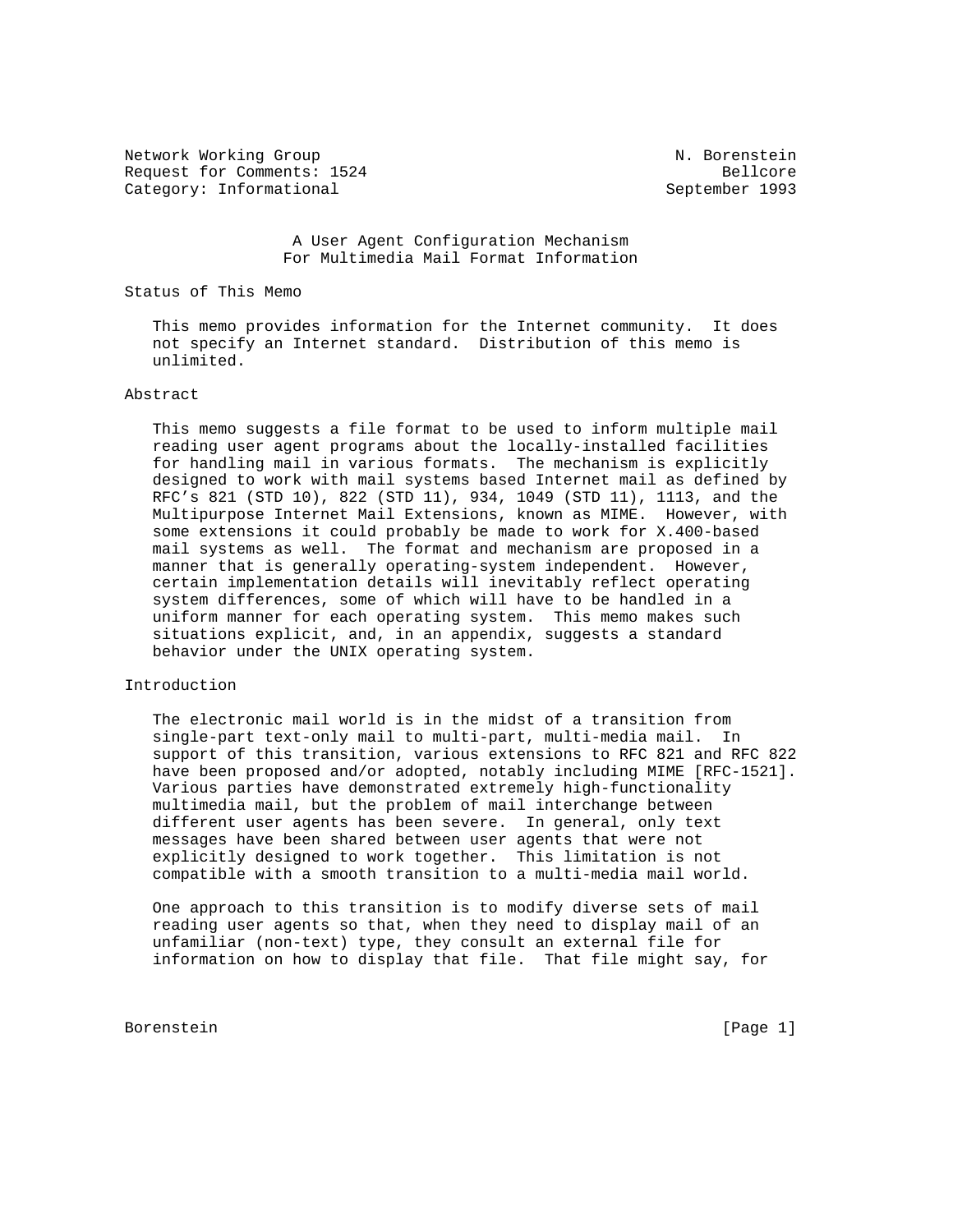Network Working Group N. Borenstein Request for Comments: 1524 Bellcore Category: Informational September 1993

 A User Agent Configuration Mechanism For Multimedia Mail Format Information

#### Status of This Memo

 This memo provides information for the Internet community. It does not specify an Internet standard. Distribution of this memo is unlimited.

# Abstract

 This memo suggests a file format to be used to inform multiple mail reading user agent programs about the locally-installed facilities for handling mail in various formats. The mechanism is explicitly designed to work with mail systems based Internet mail as defined by RFC's 821 (STD 10), 822 (STD 11), 934, 1049 (STD 11), 1113, and the Multipurpose Internet Mail Extensions, known as MIME. However, with some extensions it could probably be made to work for X.400-based mail systems as well. The format and mechanism are proposed in a manner that is generally operating-system independent. However, certain implementation details will inevitably reflect operating system differences, some of which will have to be handled in a uniform manner for each operating system. This memo makes such situations explicit, and, in an appendix, suggests a standard behavior under the UNIX operating system.

# Introduction

 The electronic mail world is in the midst of a transition from single-part text-only mail to multi-part, multi-media mail. In support of this transition, various extensions to RFC 821 and RFC 822 have been proposed and/or adopted, notably including MIME [RFC-1521]. Various parties have demonstrated extremely high-functionality multimedia mail, but the problem of mail interchange between different user agents has been severe. In general, only text messages have been shared between user agents that were not explicitly designed to work together. This limitation is not compatible with a smooth transition to a multi-media mail world.

 One approach to this transition is to modify diverse sets of mail reading user agents so that, when they need to display mail of an unfamiliar (non-text) type, they consult an external file for information on how to display that file. That file might say, for

Borenstein [Page 1]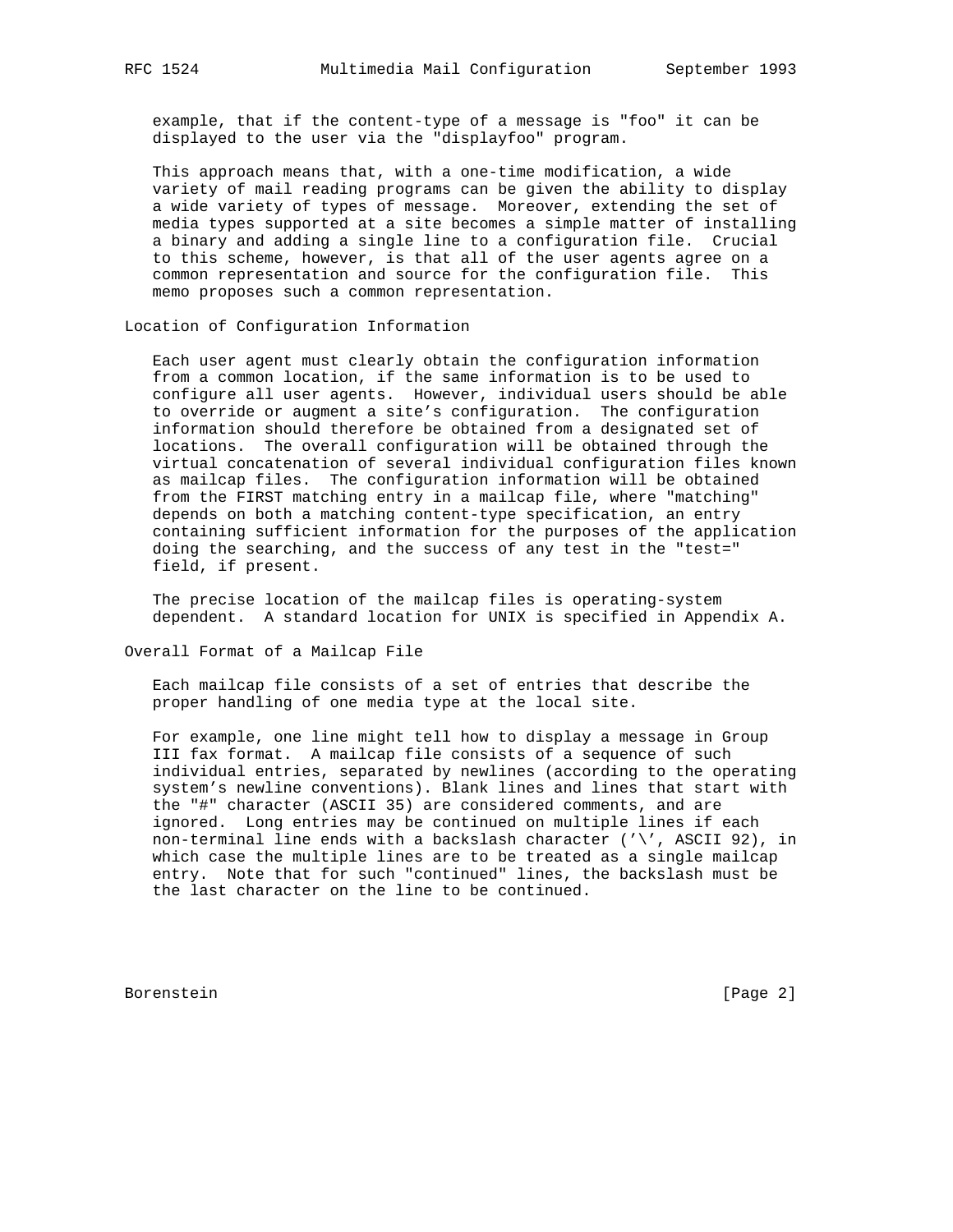example, that if the content-type of a message is "foo" it can be displayed to the user via the "displayfoo" program.

 This approach means that, with a one-time modification, a wide variety of mail reading programs can be given the ability to display a wide variety of types of message. Moreover, extending the set of media types supported at a site becomes a simple matter of installing a binary and adding a single line to a configuration file. Crucial to this scheme, however, is that all of the user agents agree on a common representation and source for the configuration file. This memo proposes such a common representation.

Location of Configuration Information

 Each user agent must clearly obtain the configuration information from a common location, if the same information is to be used to configure all user agents. However, individual users should be able to override or augment a site's configuration. The configuration information should therefore be obtained from a designated set of locations. The overall configuration will be obtained through the virtual concatenation of several individual configuration files known as mailcap files. The configuration information will be obtained from the FIRST matching entry in a mailcap file, where "matching" depends on both a matching content-type specification, an entry containing sufficient information for the purposes of the application doing the searching, and the success of any test in the "test=" field, if present.

 The precise location of the mailcap files is operating-system dependent. A standard location for UNIX is specified in Appendix A.

Overall Format of a Mailcap File

 Each mailcap file consists of a set of entries that describe the proper handling of one media type at the local site.

 For example, one line might tell how to display a message in Group III fax format. A mailcap file consists of a sequence of such individual entries, separated by newlines (according to the operating system's newline conventions). Blank lines and lines that start with the "#" character (ASCII 35) are considered comments, and are ignored. Long entries may be continued on multiple lines if each non-terminal line ends with a backslash character  $(\sqrt{7}, 8)$  ASCII 92), in which case the multiple lines are to be treated as a single mailcap entry. Note that for such "continued" lines, the backslash must be the last character on the line to be continued.

Borenstein [Page 2]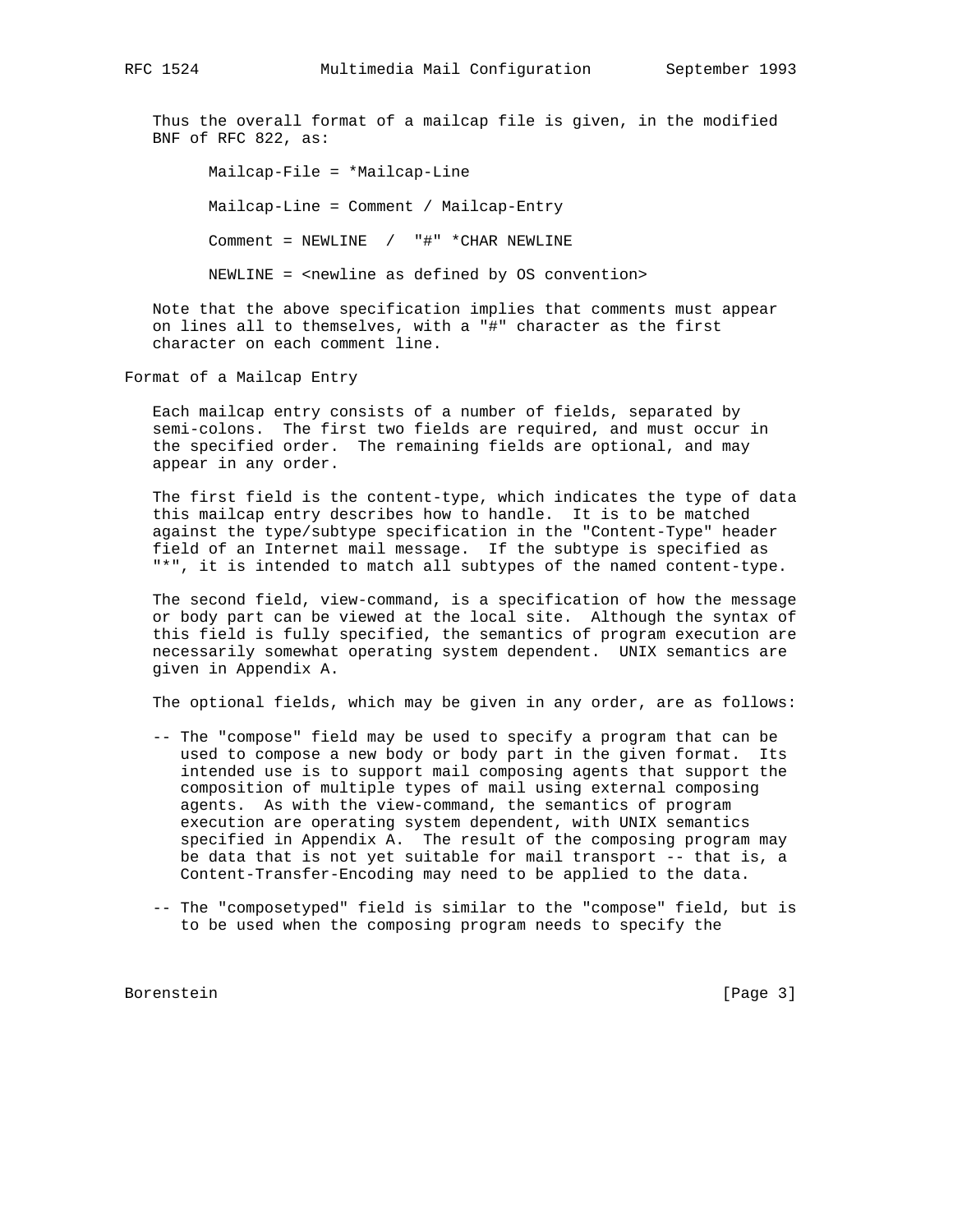Thus the overall format of a mailcap file is given, in the modified BNF of RFC 822, as:

 Mailcap-File = \*Mailcap-Line Mailcap-Line = Comment / Mailcap-Entry Comment = NEWLINE / "#" \*CHAR NEWLINE NEWLINE = <newline as defined by OS convention>

 Note that the above specification implies that comments must appear on lines all to themselves, with a "#" character as the first character on each comment line.

Format of a Mailcap Entry

 Each mailcap entry consists of a number of fields, separated by semi-colons. The first two fields are required, and must occur in the specified order. The remaining fields are optional, and may appear in any order.

 The first field is the content-type, which indicates the type of data this mailcap entry describes how to handle. It is to be matched against the type/subtype specification in the "Content-Type" header field of an Internet mail message. If the subtype is specified as "\*", it is intended to match all subtypes of the named content-type.

 The second field, view-command, is a specification of how the message or body part can be viewed at the local site. Although the syntax of this field is fully specified, the semantics of program execution are necessarily somewhat operating system dependent. UNIX semantics are given in Appendix A.

The optional fields, which may be given in any order, are as follows:

- -- The "compose" field may be used to specify a program that can be used to compose a new body or body part in the given format. Its intended use is to support mail composing agents that support the composition of multiple types of mail using external composing agents. As with the view-command, the semantics of program execution are operating system dependent, with UNIX semantics specified in Appendix A. The result of the composing program may be data that is not yet suitable for mail transport -- that is, a Content-Transfer-Encoding may need to be applied to the data.
- -- The "composetyped" field is similar to the "compose" field, but is to be used when the composing program needs to specify the

Borenstein [Page 3]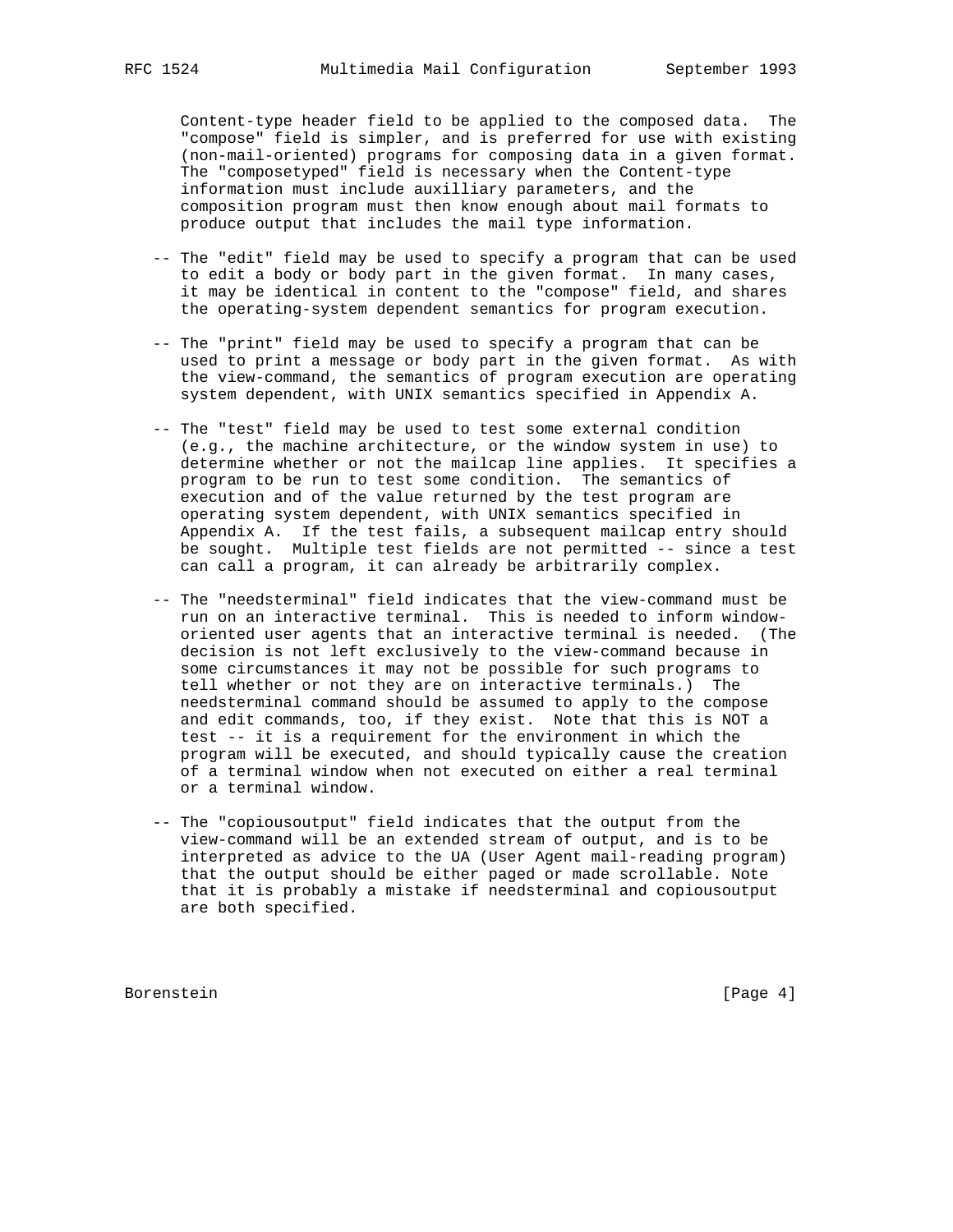Content-type header field to be applied to the composed data. The "compose" field is simpler, and is preferred for use with existing (non-mail-oriented) programs for composing data in a given format. The "composetyped" field is necessary when the Content-type information must include auxilliary parameters, and the composition program must then know enough about mail formats to produce output that includes the mail type information.

- -- The "edit" field may be used to specify a program that can be used to edit a body or body part in the given format. In many cases, it may be identical in content to the "compose" field, and shares the operating-system dependent semantics for program execution.
- -- The "print" field may be used to specify a program that can be used to print a message or body part in the given format. As with the view-command, the semantics of program execution are operating system dependent, with UNIX semantics specified in Appendix A.
- -- The "test" field may be used to test some external condition (e.g., the machine architecture, or the window system in use) to determine whether or not the mailcap line applies. It specifies a program to be run to test some condition. The semantics of execution and of the value returned by the test program are operating system dependent, with UNIX semantics specified in Appendix A. If the test fails, a subsequent mailcap entry should be sought. Multiple test fields are not permitted -- since a test can call a program, it can already be arbitrarily complex.
- -- The "needsterminal" field indicates that the view-command must be run on an interactive terminal. This is needed to inform window oriented user agents that an interactive terminal is needed. (The decision is not left exclusively to the view-command because in some circumstances it may not be possible for such programs to tell whether or not they are on interactive terminals.) The needsterminal command should be assumed to apply to the compose and edit commands, too, if they exist. Note that this is NOT a test -- it is a requirement for the environment in which the program will be executed, and should typically cause the creation of a terminal window when not executed on either a real terminal or a terminal window.
- -- The "copiousoutput" field indicates that the output from the view-command will be an extended stream of output, and is to be interpreted as advice to the UA (User Agent mail-reading program) that the output should be either paged or made scrollable. Note that it is probably a mistake if needsterminal and copiousoutput are both specified.

Borenstein [Page 4]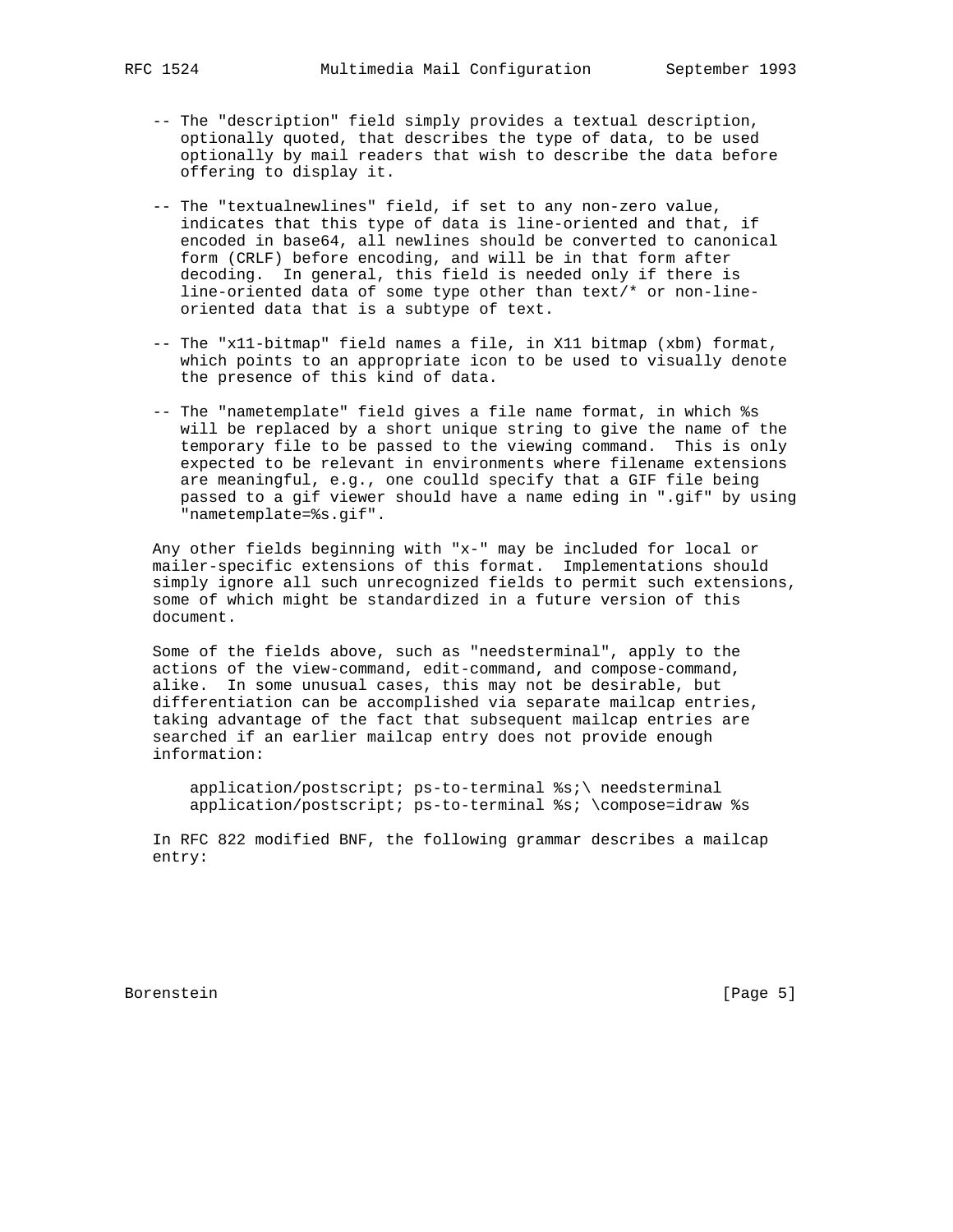- -- The "description" field simply provides a textual description, optionally quoted, that describes the type of data, to be used optionally by mail readers that wish to describe the data before offering to display it.
- -- The "textualnewlines" field, if set to any non-zero value, indicates that this type of data is line-oriented and that, if encoded in base64, all newlines should be converted to canonical form (CRLF) before encoding, and will be in that form after decoding. In general, this field is needed only if there is line-oriented data of some type other than text/\* or non-line oriented data that is a subtype of text.
- -- The "x11-bitmap" field names a file, in X11 bitmap (xbm) format, which points to an appropriate icon to be used to visually denote the presence of this kind of data.
- -- The "nametemplate" field gives a file name format, in which %s will be replaced by a short unique string to give the name of the temporary file to be passed to the viewing command. This is only expected to be relevant in environments where filename extensions are meaningful, e.g., one coulld specify that a GIF file being passed to a gif viewer should have a name eding in ".gif" by using "nametemplate=%s.gif".

 Any other fields beginning with "x-" may be included for local or mailer-specific extensions of this format. Implementations should simply ignore all such unrecognized fields to permit such extensions, some of which might be standardized in a future version of this document.

 Some of the fields above, such as "needsterminal", apply to the actions of the view-command, edit-command, and compose-command, alike. In some unusual cases, this may not be desirable, but differentiation can be accomplished via separate mailcap entries, taking advantage of the fact that subsequent mailcap entries are searched if an earlier mailcap entry does not provide enough information:

 application/postscript; ps-to-terminal %s;\ needsterminal application/postscript; ps-to-terminal %s; \compose=idraw %s

 In RFC 822 modified BNF, the following grammar describes a mailcap entry:

Borenstein [Page 5]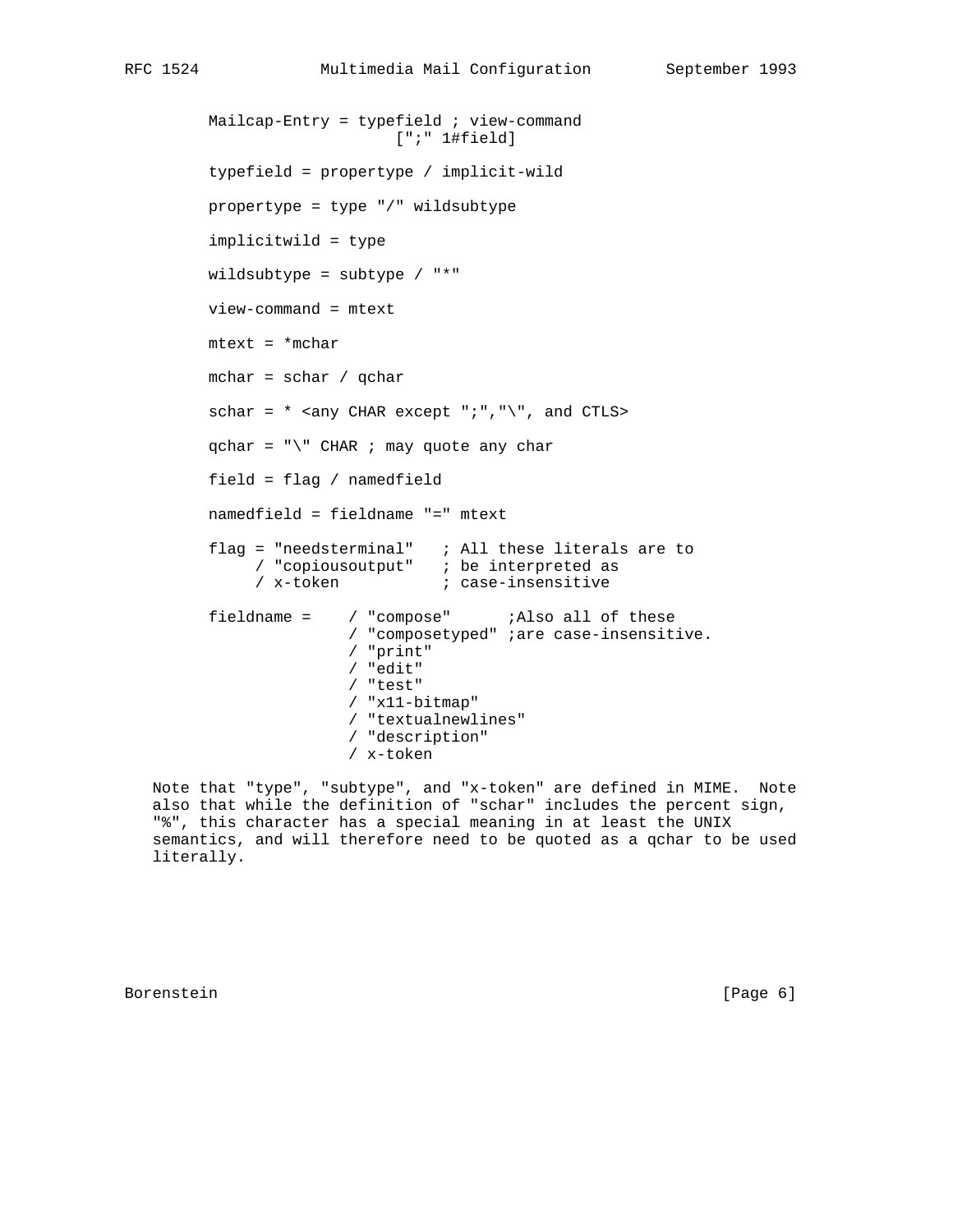```
Mailcap-Entry = typefield i view-command
                           [";" 1#field]
        typefield = propertype / implicit-wild
        propertype = type "/" wildsubtype
        implicitwild = type
        wildsubtype = subtype / "*"
        view-command = mtext
        mtext = *mchar
        mchar = schar / qchar
       schar = * <any CHAR except ";","\", and CTLS>
       qchar = "\Psi" CHAR ; may quote any char
        field = flag / namedfield
        namedfield = fieldname "=" mtext
flag = "needsterminal" ; All these literals are to
/ "copiousoutput" ; be interpreted as
/ x-token ; case-insensitive
       fieldname = / "compose" ;Also all of these
                       / "composetyped" ;are case-insensitive.
                      / "print"
                      / "edit"
                      / "test"
                      / "x11-bitmap"
                       / "textualnewlines"
                       / "description"
                       / x-token
```
 Note that "type", "subtype", and "x-token" are defined in MIME. Note also that while the definition of "schar" includes the percent sign, "%", this character has a special meaning in at least the UNIX semantics, and will therefore need to be quoted as a qchar to be used literally.

Borenstein [Page 6]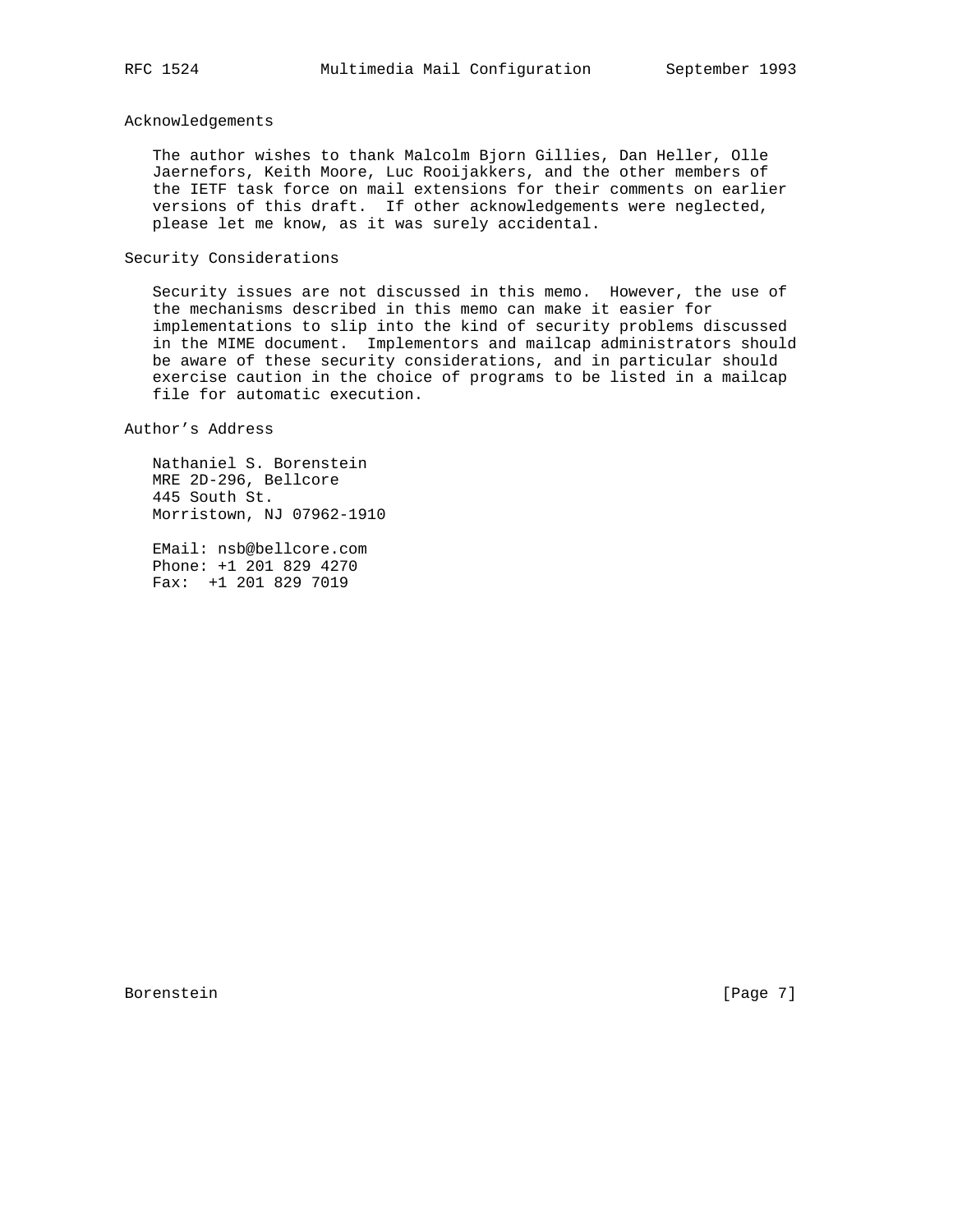## Acknowledgements

 The author wishes to thank Malcolm Bjorn Gillies, Dan Heller, Olle Jaernefors, Keith Moore, Luc Rooijakkers, and the other members of the IETF task force on mail extensions for their comments on earlier versions of this draft. If other acknowledgements were neglected, please let me know, as it was surely accidental.

# Security Considerations

 Security issues are not discussed in this memo. However, the use of the mechanisms described in this memo can make it easier for implementations to slip into the kind of security problems discussed in the MIME document. Implementors and mailcap administrators should be aware of these security considerations, and in particular should exercise caution in the choice of programs to be listed in a mailcap file for automatic execution.

Author's Address

 Nathaniel S. Borenstein MRE 2D-296, Bellcore 445 South St. Morristown, NJ 07962-1910

 EMail: nsb@bellcore.com Phone: +1 201 829 4270 Fax: +1 201 829 7019

Borenstein [Page 7]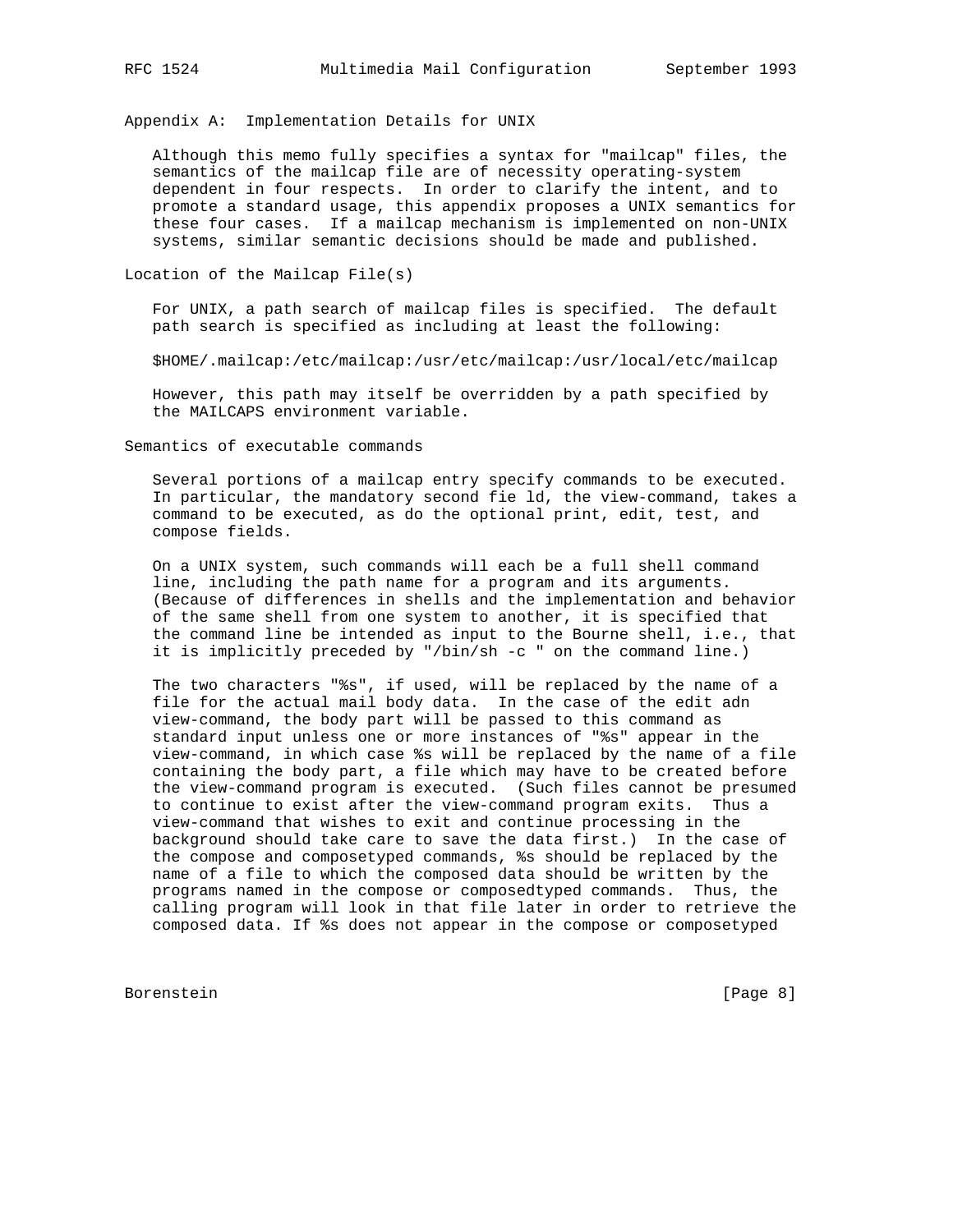Appendix A: Implementation Details for UNIX

 Although this memo fully specifies a syntax for "mailcap" files, the semantics of the mailcap file are of necessity operating-system dependent in four respects. In order to clarify the intent, and to promote a standard usage, this appendix proposes a UNIX semantics for these four cases. If a mailcap mechanism is implemented on non-UNIX systems, similar semantic decisions should be made and published.

Location of the Mailcap File(s)

 For UNIX, a path search of mailcap files is specified. The default path search is specified as including at least the following:

\$HOME/.mailcap:/etc/mailcap:/usr/etc/mailcap:/usr/local/etc/mailcap

 However, this path may itself be overridden by a path specified by the MAILCAPS environment variable.

Semantics of executable commands

 Several portions of a mailcap entry specify commands to be executed. In particular, the mandatory second fie ld, the view-command, takes a command to be executed, as do the optional print, edit, test, and compose fields.

 On a UNIX system, such commands will each be a full shell command line, including the path name for a program and its arguments. (Because of differences in shells and the implementation and behavior of the same shell from one system to another, it is specified that the command line be intended as input to the Bourne shell, i.e., that it is implicitly preceded by "/bin/sh -c " on the command line.)

 The two characters "%s", if used, will be replaced by the name of a file for the actual mail body data. In the case of the edit adn view-command, the body part will be passed to this command as standard input unless one or more instances of "%s" appear in the view-command, in which case %s will be replaced by the name of a file containing the body part, a file which may have to be created before the view-command program is executed. (Such files cannot be presumed to continue to exist after the view-command program exits. Thus a view-command that wishes to exit and continue processing in the background should take care to save the data first.) In the case of the compose and composetyped commands, %s should be replaced by the name of a file to which the composed data should be written by the programs named in the compose or composedtyped commands. Thus, the calling program will look in that file later in order to retrieve the composed data. If %s does not appear in the compose or composetyped

Borenstein [Page 8]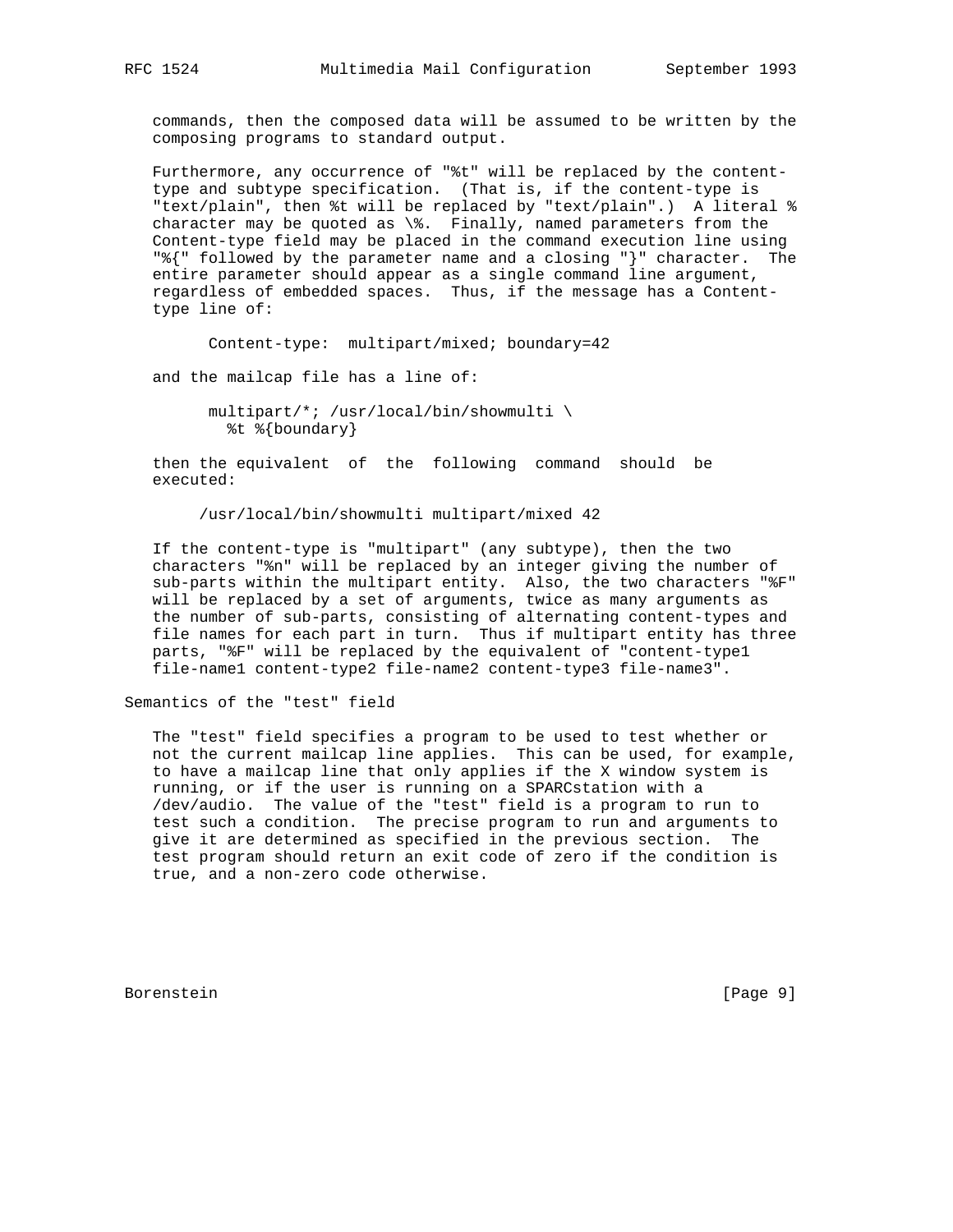commands, then the composed data will be assumed to be written by the composing programs to standard output.

 Furthermore, any occurrence of "%t" will be replaced by the content type and subtype specification. (That is, if the content-type is "text/plain", then %t will be replaced by "text/plain".) A literal % character may be quoted as \%. Finally, named parameters from the Content-type field may be placed in the command execution line using "%{" followed by the parameter name and a closing "}" character. The entire parameter should appear as a single command line argument, regardless of embedded spaces. Thus, if the message has a Content type line of:

Content-type: multipart/mixed; boundary=42

and the mailcap file has a line of:

 multipart/\*; /usr/local/bin/showmulti \ %t %{boundary}

 then the equivalent of the following command should be executed:

/usr/local/bin/showmulti multipart/mixed 42

 If the content-type is "multipart" (any subtype), then the two characters "%n" will be replaced by an integer giving the number of sub-parts within the multipart entity. Also, the two characters "%F" will be replaced by a set of arguments, twice as many arguments as the number of sub-parts, consisting of alternating content-types and file names for each part in turn. Thus if multipart entity has three parts, "%F" will be replaced by the equivalent of "content-type1 file-name1 content-type2 file-name2 content-type3 file-name3".

Semantics of the "test" field

 The "test" field specifies a program to be used to test whether or not the current mailcap line applies. This can be used, for example, to have a mailcap line that only applies if the X window system is running, or if the user is running on a SPARCstation with a /dev/audio. The value of the "test" field is a program to run to test such a condition. The precise program to run and arguments to give it are determined as specified in the previous section. The test program should return an exit code of zero if the condition is true, and a non-zero code otherwise.

Borenstein [Page 9]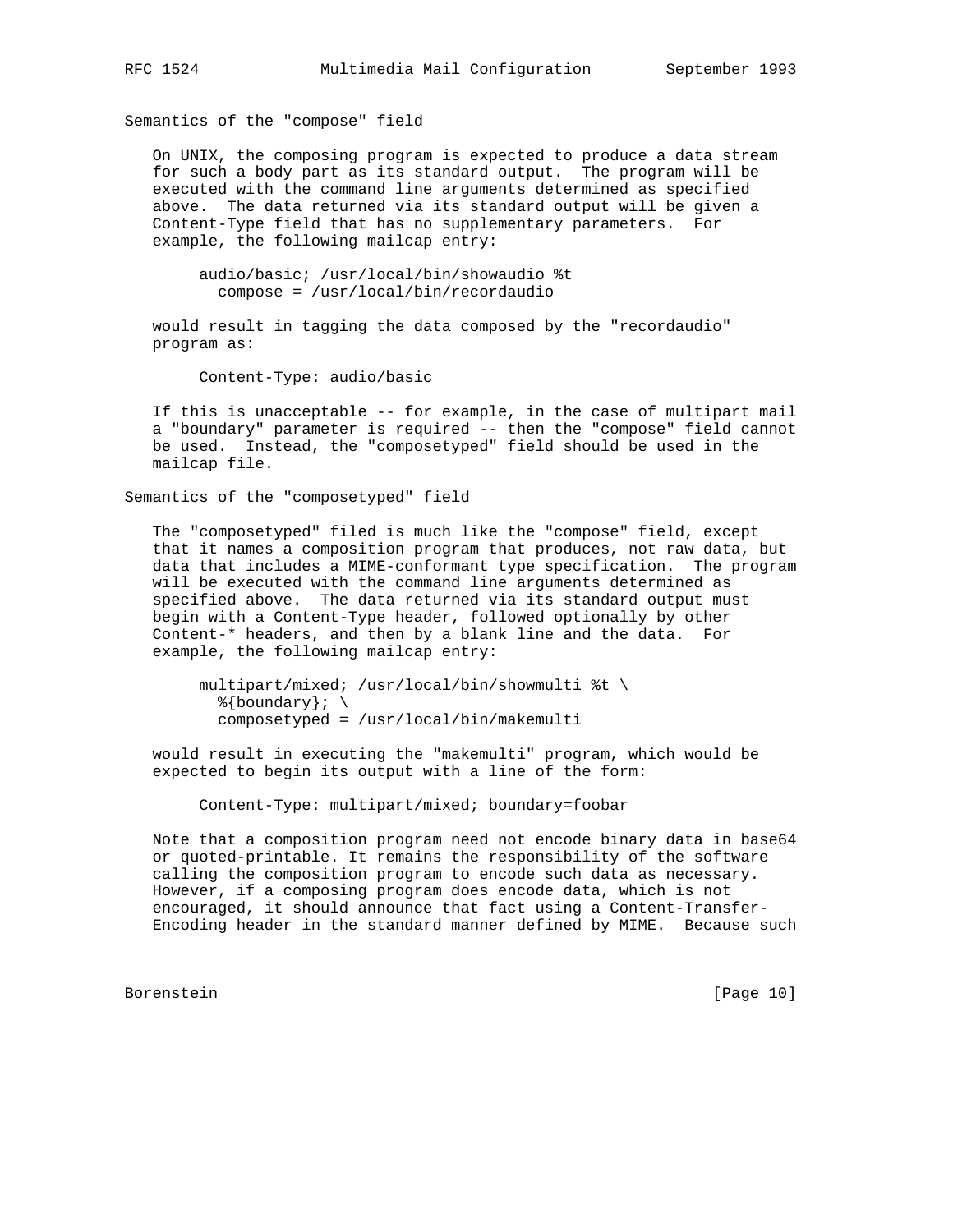Semantics of the "compose" field

 On UNIX, the composing program is expected to produce a data stream for such a body part as its standard output. The program will be executed with the command line arguments determined as specified above. The data returned via its standard output will be given a Content-Type field that has no supplementary parameters. For example, the following mailcap entry:

 audio/basic; /usr/local/bin/showaudio %t compose = /usr/local/bin/recordaudio

 would result in tagging the data composed by the "recordaudio" program as:

Content-Type: audio/basic

 If this is unacceptable -- for example, in the case of multipart mail a "boundary" parameter is required -- then the "compose" field cannot be used. Instead, the "composetyped" field should be used in the mailcap file.

Semantics of the "composetyped" field

 The "composetyped" filed is much like the "compose" field, except that it names a composition program that produces, not raw data, but data that includes a MIME-conformant type specification. The program will be executed with the command line arguments determined as specified above. The data returned via its standard output must begin with a Content-Type header, followed optionally by other Content-\* headers, and then by a blank line and the data. For example, the following mailcap entry:

 multipart/mixed; /usr/local/bin/showmulti %t \  $\{\text{boundary}\};\ \setminus$ composetyped = /usr/local/bin/makemulti

 would result in executing the "makemulti" program, which would be expected to begin its output with a line of the form:

Content-Type: multipart/mixed; boundary=foobar

 Note that a composition program need not encode binary data in base64 or quoted-printable. It remains the responsibility of the software calling the composition program to encode such data as necessary. However, if a composing program does encode data, which is not encouraged, it should announce that fact using a Content-Transfer- Encoding header in the standard manner defined by MIME. Because such

Borenstein [Page 10]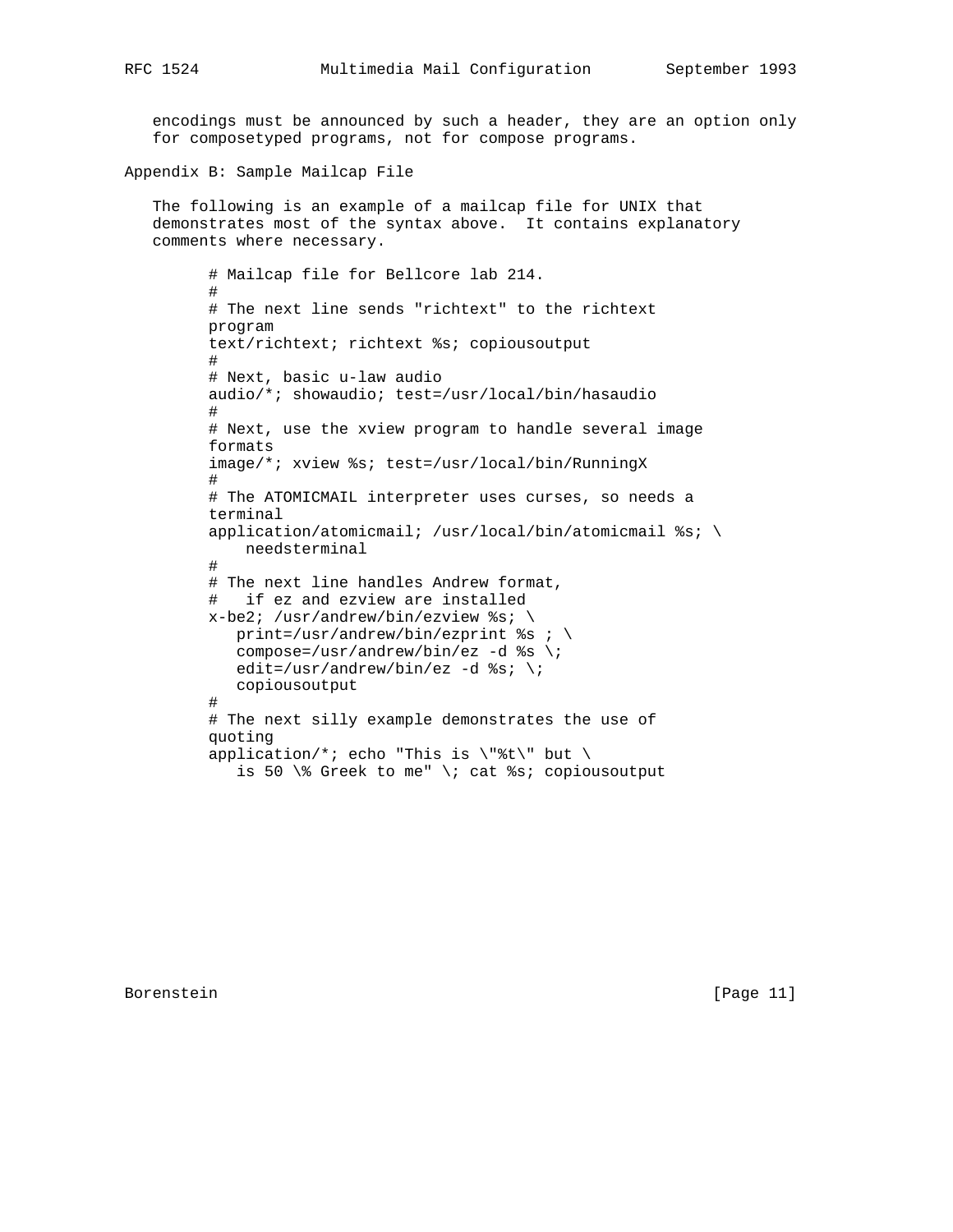encodings must be announced by such a header, they are an option only for composetyped programs, not for compose programs.

Appendix B: Sample Mailcap File

```
 The following is an example of a mailcap file for UNIX that
demonstrates most of the syntax above. It contains explanatory
comments where necessary.
```

```
 # Mailcap file for Bellcore lab 214.
        #
        # The next line sends "richtext" to the richtext
        program
        text/richtext; richtext %s; copiousoutput
#
        # Next, basic u-law audio
        audio/*; showaudio; test=/usr/local/bin/hasaudio
#
        # Next, use the xview program to handle several image
        formats
        image/*; xview %s; test=/usr/local/bin/RunningX
#
        # The ATOMICMAIL interpreter uses curses, so needs a
        terminal
       application/atomicmail; /usr/local/bin/atomicmail %s; \
            needsterminal
#
        # The next line handles Andrew format,
        # if ez and ezview are installed
       x-be2; /usr/andrew/bin/ezview %s; \
         print=/usr/andrew/bin/ezprint s s ; \
          compose=/usr/andrew/bin/ez -d s \rightarrow iedit=/usr/andrew/bin/ez -d s; \;
           copiousoutput
#
        # The next silly example demonstrates the use of
        quoting
       application/*; echo "This is \"%t\" but \
          is 50 \% Greek to me" \; cat %s; copiousoutput
```
Borenstein [Page 11]